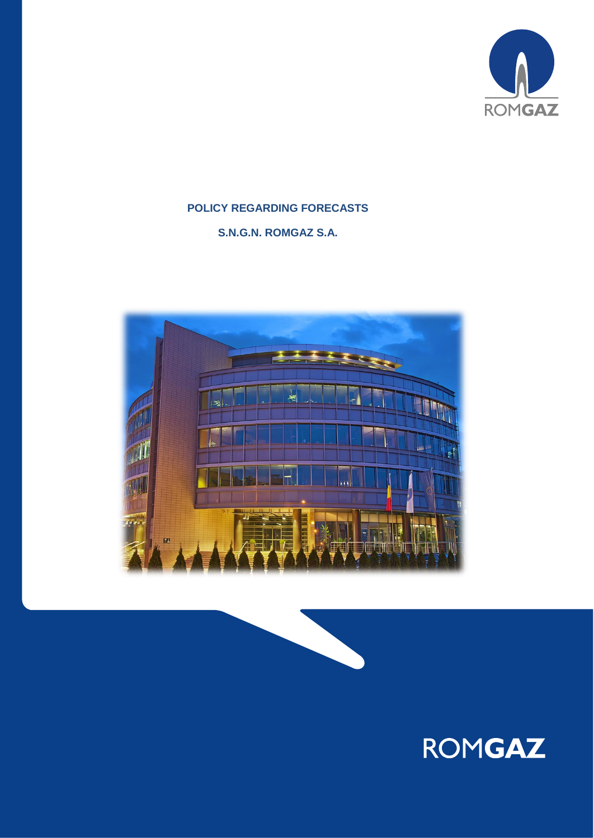

# **POLICY REGARDING FORECASTS**

**S.N.G.N. ROMGAZ S.A.**





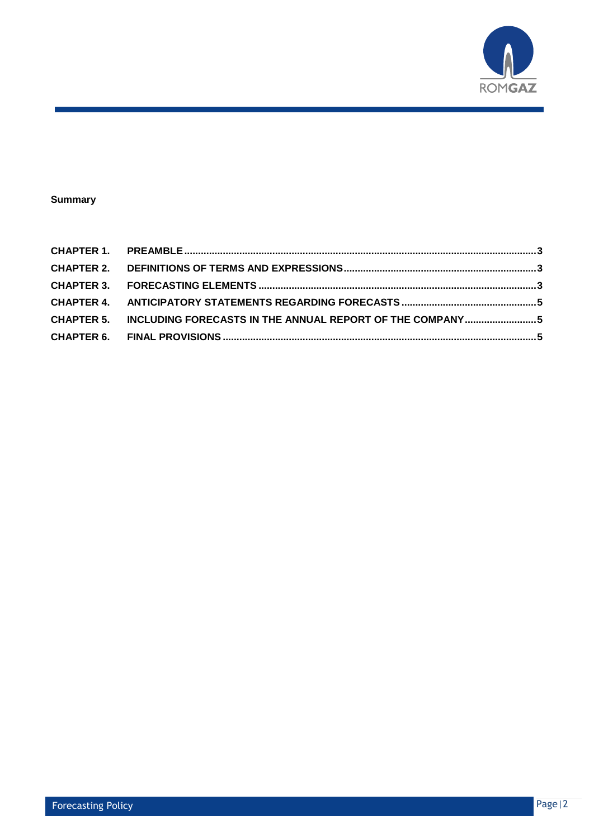

#### **Summary**

| CHAPTER 5. INCLUDING FORECASTS IN THE ANNUAL REPORT OF THE COMPANY5 |  |
|---------------------------------------------------------------------|--|
|                                                                     |  |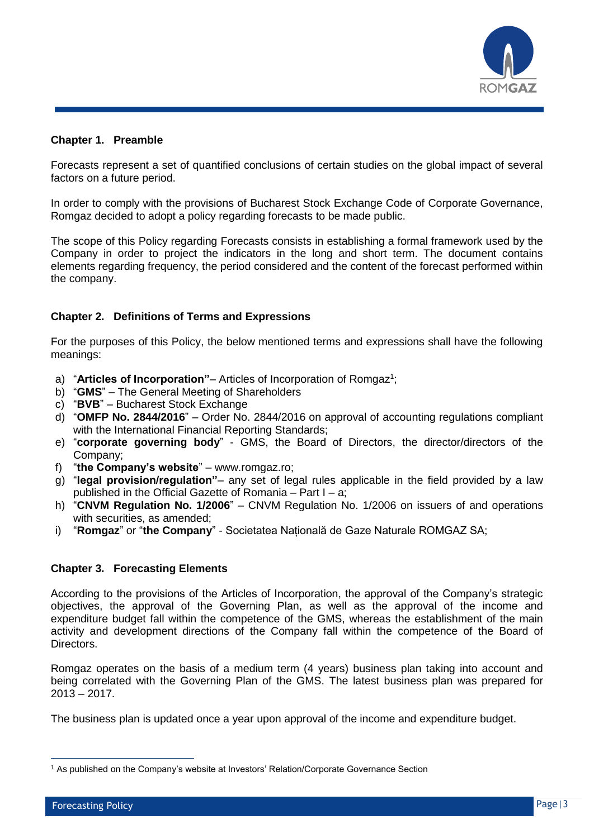

#### <span id="page-2-0"></span>**Chapter 1. Preamble**

Forecasts represent a set of quantified conclusions of certain studies on the global impact of several factors on a future period.

In order to comply with the provisions of Bucharest Stock Exchange Code of Corporate Governance, Romgaz decided to adopt a policy regarding forecasts to be made public.

The scope of this Policy regarding Forecasts consists in establishing a formal framework used by the Company in order to project the indicators in the long and short term. The document contains elements regarding frequency, the period considered and the content of the forecast performed within the company.

## <span id="page-2-1"></span>**Chapter 2. Definitions of Terms and Expressions**

For the purposes of this Policy, the below mentioned terms and expressions shall have the following meanings:

- a) "Articles of Incorporation" Articles of Incorporation of Romgaz<sup>1</sup>;
- b) "**GMS**" The General Meeting of Shareholders
- c) "**BVB**" Bucharest Stock Exchange
- d) "**OMFP No. 2844/2016**" Order No. 2844/2016 on approval of accounting regulations compliant with the International Financial Reporting Standards;
- e) "**corporate governing body**" GMS, the Board of Directors, the director/directors of the Company;
- f) "**the Company's website**" www.romgaz.ro;
- g) "**legal provision/regulation"** any set of legal rules applicable in the field provided by a law published in the Official Gazette of Romania – Part I – a;
- h) "**CNVM Regulation No. 1/2006**" CNVM Regulation No. 1/2006 on issuers of and operations with securities, as amended;
- i) "**Romgaz**" or "**the Company**" Societatea Națională de Gaze Naturale ROMGAZ SA;

#### <span id="page-2-2"></span>**Chapter 3. Forecasting Elements**

According to the provisions of the Articles of Incorporation, the approval of the Company's strategic objectives, the approval of the Governing Plan, as well as the approval of the income and expenditure budget fall within the competence of the GMS, whereas the establishment of the main activity and development directions of the Company fall within the competence of the Board of Directors.

Romgaz operates on the basis of a medium term (4 years) business plan taking into account and being correlated with the Governing Plan of the GMS. The latest business plan was prepared for  $2013 - 2017$ .

The business plan is updated once a year upon approval of the income and expenditure budget.

 $\overline{a}$ 

<sup>1</sup> As published on the Company's website at Investors' Relation/Corporate Governance Section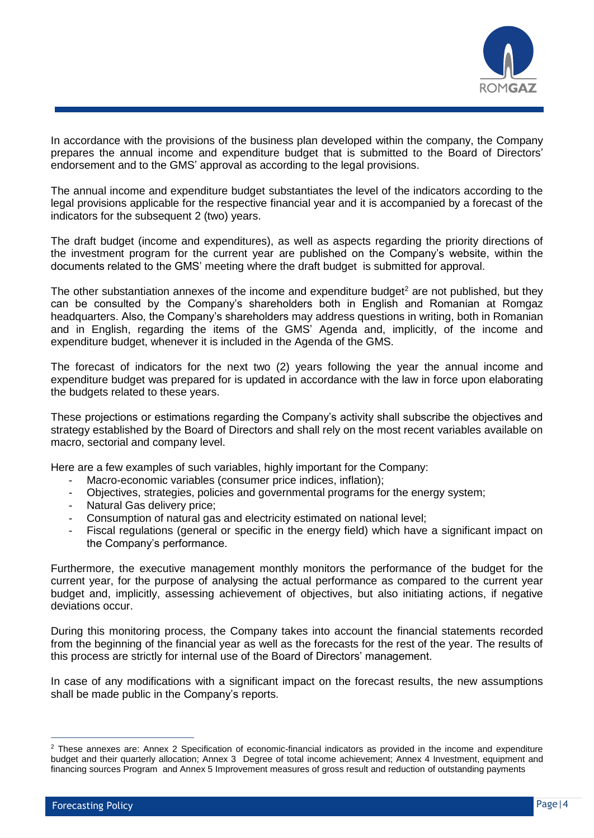

In accordance with the provisions of the business plan developed within the company, the Company prepares the annual income and expenditure budget that is submitted to the Board of Directors' endorsement and to the GMS' approval as according to the legal provisions.

The annual income and expenditure budget substantiates the level of the indicators according to the legal provisions applicable for the respective financial year and it is accompanied by a forecast of the indicators for the subsequent 2 (two) years.

The draft budget (income and expenditures), as well as aspects regarding the priority directions of the investment program for the current year are published on the Company's website, within the documents related to the GMS' meeting where the draft budget is submitted for approval.

The other substantiation annexes of the income and expenditure budget<sup>2</sup> are not published, but they can be consulted by the Company's shareholders both in English and Romanian at Romgaz headquarters. Also, the Company's shareholders may address questions in writing, both in Romanian and in English, regarding the items of the GMS' Agenda and, implicitly, of the income and expenditure budget, whenever it is included in the Agenda of the GMS.

The forecast of indicators for the next two (2) years following the year the annual income and expenditure budget was prepared for is updated in accordance with the law in force upon elaborating the budgets related to these years.

These projections or estimations regarding the Company's activity shall subscribe the objectives and strategy established by the Board of Directors and shall rely on the most recent variables available on macro, sectorial and company level.

Here are a few examples of such variables, highly important for the Company:

- Macro-economic variables (consumer price indices, inflation);
- Objectives, strategies, policies and governmental programs for the energy system;
- Natural Gas delivery price;
- Consumption of natural gas and electricity estimated on national level;
- Fiscal regulations (general or specific in the energy field) which have a significant impact on the Company's performance.

Furthermore, the executive management monthly monitors the performance of the budget for the current year, for the purpose of analysing the actual performance as compared to the current year budget and, implicitly, assessing achievement of objectives, but also initiating actions, if negative deviations occur.

During this monitoring process, the Company takes into account the financial statements recorded from the beginning of the financial year as well as the forecasts for the rest of the year. The results of this process are strictly for internal use of the Board of Directors' management.

In case of any modifications with a significant impact on the forecast results, the new assumptions shall be made public in the Company's reports.

 $\overline{a}$ 

<sup>&</sup>lt;sup>2</sup> These annexes are: Annex 2 Specification of economic-financial indicators as provided in the income and expenditure budget and their quarterly allocation; Annex 3 Degree of total income achievement; Annex 4 Investment, equipment and financing sources Program and Annex 5 Improvement measures of gross result and reduction of outstanding payments